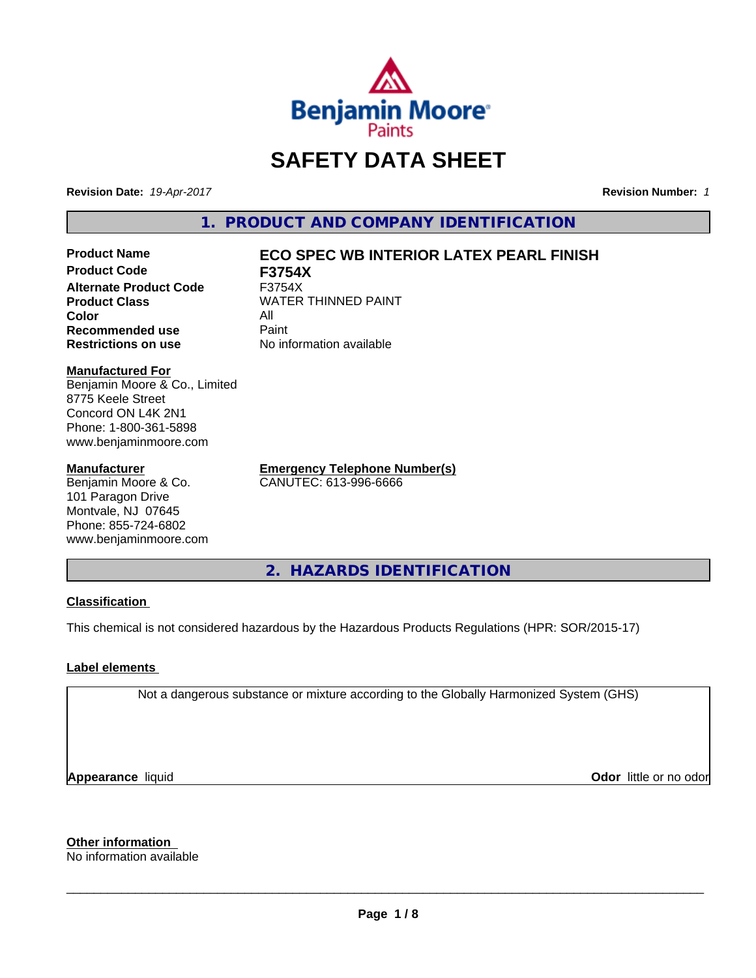

# **SAFETY DATA SHEET**

**Revision Date:** *19-Apr-2017* **Revision Number:** *1*

**1. PRODUCT AND COMPANY IDENTIFICATION**

**Product Code F3754X Alternate Product Code** F3754X **Product Class WATER THINNED PAINT Color** All **Recommended use Paint Restrictions on use** No information available

# **Product Name ECO SPEC WB INTERIOR LATEX PEARL FINISH**

#### **Manufactured For**

Benjamin Moore & Co., Limited 8775 Keele Street Concord ON L4K 2N1 Phone: 1-800-361-5898 www.benjaminmoore.com

#### **Manufacturer**

Benjamin Moore & Co. 101 Paragon Drive Montvale, NJ 07645 Phone: 855-724-6802 www.benjaminmoore.com **Emergency Telephone Number(s)** CANUTEC: 613-996-6666

**2. HAZARDS IDENTIFICATION**

# **Classification**

This chemical is not considered hazardous by the Hazardous Products Regulations (HPR: SOR/2015-17)

# **Label elements**

Not a dangerous substance or mixture according to the Globally Harmonized System (GHS)

**Appearance** liquid

**Odor** little or no odor

**Other information**

No information available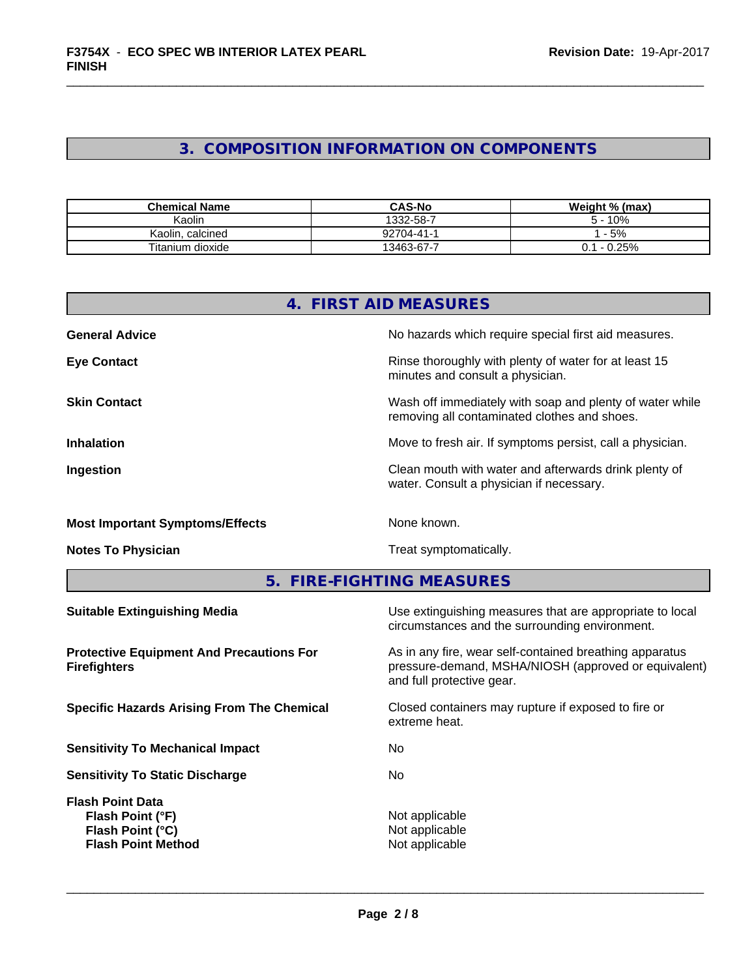# **3. COMPOSITION INFORMATION ON COMPONENTS**

| <b>Chemical Name</b> | <b>CAS-No</b>    | Weight % (max)   |
|----------------------|------------------|------------------|
| Kaolin               | 1332-58-7        | 10%<br>∽         |
| Kaolin.<br>calcined  | $22704 - 41 - 1$ | $-5%$            |
| Titanium dioxide     | $13463 - 67 - 4$ | 25%<br>- 1<br>ັ. |

| 4. FIRST AID MEASURES                  |                                                                                                          |  |
|----------------------------------------|----------------------------------------------------------------------------------------------------------|--|
| <b>General Advice</b>                  | No hazards which require special first aid measures.                                                     |  |
| <b>Eye Contact</b>                     | Rinse thoroughly with plenty of water for at least 15<br>minutes and consult a physician.                |  |
| <b>Skin Contact</b>                    | Wash off immediately with soap and plenty of water while<br>removing all contaminated clothes and shoes. |  |
| <b>Inhalation</b>                      | Move to fresh air. If symptoms persist, call a physician.                                                |  |
| Ingestion                              | Clean mouth with water and afterwards drink plenty of<br>water. Consult a physician if necessary.        |  |
| <b>Most Important Symptoms/Effects</b> | None known.                                                                                              |  |
| <b>Notes To Physician</b>              | Treat symptomatically.                                                                                   |  |

# **5. FIRE-FIGHTING MEASURES**

| <b>Suitable Extinguishing Media</b>                                                          | Use extinguishing measures that are appropriate to local<br>circumstances and the surrounding environment.                                   |
|----------------------------------------------------------------------------------------------|----------------------------------------------------------------------------------------------------------------------------------------------|
| <b>Protective Equipment And Precautions For</b><br><b>Firefighters</b>                       | As in any fire, wear self-contained breathing apparatus<br>pressure-demand, MSHA/NIOSH (approved or equivalent)<br>and full protective gear. |
| <b>Specific Hazards Arising From The Chemical</b>                                            | Closed containers may rupture if exposed to fire or<br>extreme heat.                                                                         |
| <b>Sensitivity To Mechanical Impact</b>                                                      | No                                                                                                                                           |
| <b>Sensitivity To Static Discharge</b>                                                       | No.                                                                                                                                          |
| <b>Flash Point Data</b><br>Flash Point (°F)<br>Flash Point (°C)<br><b>Flash Point Method</b> | Not applicable<br>Not applicable<br>Not applicable                                                                                           |
|                                                                                              |                                                                                                                                              |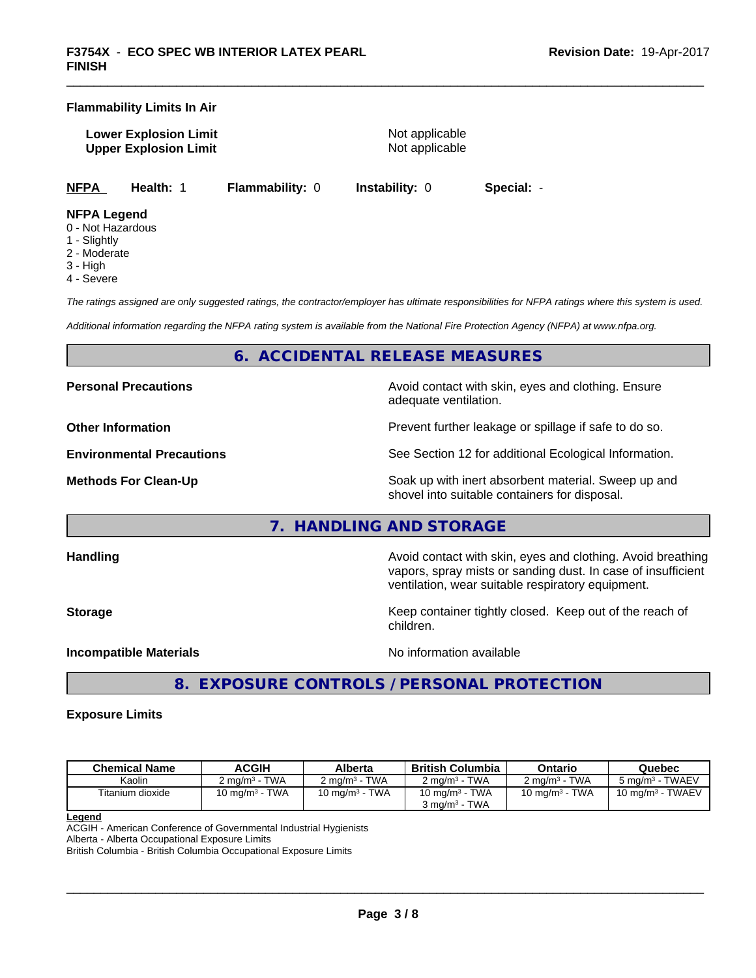# **Flammability Limits In Air**

**Lower Explosion Limit** Not applicable **Upper Explosion Limit** Not applicable

**NFPA Health:** 1 **Flammability:** 0 **Instability:** 0 **Special:** -

# **NFPA Legend**

- 0 Not Hazardous
- 1 Slightly
- 2 Moderate
- 3 High
- 4 Severe

*The ratings assigned are only suggested ratings, the contractor/employer has ultimate responsibilities for NFPA ratings where this system is used.*

*Additional information regarding the NFPA rating system is available from the National Fire Protection Agency (NFPA) at www.nfpa.org.*

# **6. ACCIDENTAL RELEASE MEASURES**

**Personal Precautions Precautions** Avoid contact with skin, eyes and clothing. Ensure

**Other Information Discription Prevent further leakage or spillage if safe to do so.** 

**Environmental Precautions** See Section 12 for additional Ecological Information.

**Methods For Clean-Up Force 20 All 20 All 20 All 20 Soak** up with inert absorbent material. Sweep up and shovel into suitable containers for disposal.

vapors, spray mists or sanding dust. In case of insufficient

# **7. HANDLING AND STORAGE**

**Handling Handling Avoid contact with skin, eyes and clothing. Avoid breathing H** 

**Storage Keep container tightly closed. Keep out of the reach of Keep** container tightly closed. Keep out of the reach of children.

ventilation, wear suitable respiratory equipment.

**Incompatible Materials Incompatible Materials No information available** 

 $\overline{\phantom{a}}$  ,  $\overline{\phantom{a}}$  ,  $\overline{\phantom{a}}$  ,  $\overline{\phantom{a}}$  ,  $\overline{\phantom{a}}$  ,  $\overline{\phantom{a}}$  ,  $\overline{\phantom{a}}$  ,  $\overline{\phantom{a}}$  ,  $\overline{\phantom{a}}$  ,  $\overline{\phantom{a}}$  ,  $\overline{\phantom{a}}$  ,  $\overline{\phantom{a}}$  ,  $\overline{\phantom{a}}$  ,  $\overline{\phantom{a}}$  ,  $\overline{\phantom{a}}$  ,  $\overline{\phantom{a}}$ 

adequate ventilation.

**8. EXPOSURE CONTROLS / PERSONAL PROTECTION**

# **Exposure Limits**

| <b>Chemical Name</b> | <b>ACGIH</b>             | <b>Alberta</b>             | British Columbia           | Ontario                    | Quebec                     |
|----------------------|--------------------------|----------------------------|----------------------------|----------------------------|----------------------------|
| Kaolin               | $2 \text{ ma/m}^3$ - TWA | $2 \text{ ma/m}^3$ - TWA   | $2 \text{ ma/m}^3$ - TWA   | $2 \text{ ma/m}^3$ - TWA   | $5 \text{ ma/m}^3$ - TWAEV |
| Titanium dioxide     | 10 mg/m $3$ - TWA        | 10 mg/m <sup>3</sup> - TWA | 10 mg/m <sup>3</sup> - TWA | 10 mg/m <sup>3</sup> - TWA | 10 mg/m $^3$ - TWAEV       |
|                      |                          |                            | $3 \text{ ma/m}^3$ - TWA   |                            |                            |

**Legend**

ACGIH - American Conference of Governmental Industrial Hygienists

Alberta - Alberta Occupational Exposure Limits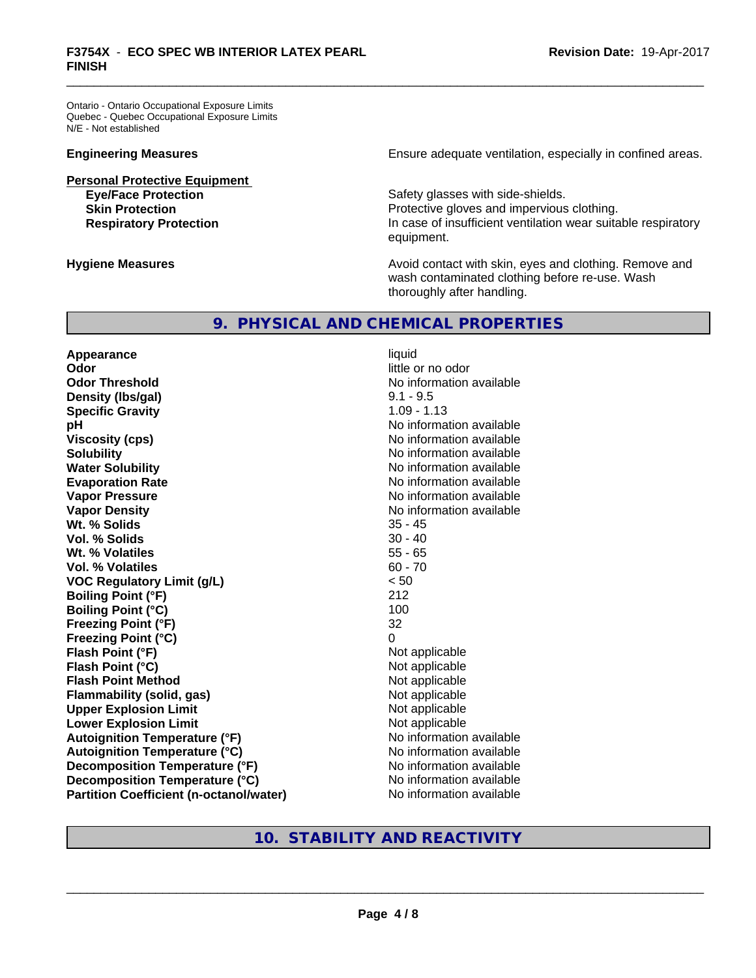Ontario - Ontario Occupational Exposure Limits Quebec - Quebec Occupational Exposure Limits N/E - Not established

**Personal Protective Equipment**

**Engineering Measures Ensure** Ensure adequate ventilation, especially in confined areas.

Safety glasses with side-shields. **Skin Protection Protection Protective gloves and impervious clothing. Respiratory Protection In case of insufficient ventilation wear suitable respiratory** equipment.

**Hygiene Measures Avoid contact with skin, eyes and clothing. Remove and Hygiene Measures** and clothing. Remove and wash contaminated clothing before re-use. Wash thoroughly after handling.

# **9. PHYSICAL AND CHEMICAL PROPERTIES**

**Appearance** liquid **Odor** little or no odor **Odor Threshold No information available No information available Density (lbs/gal)** 9.1 - 9.5 **Specific Gravity** 1.09 - 1.13 **pH** No information available **Viscosity (cps)** No information available **Solubility** No information available **Evaporation Rate No information available No information available Vapor Pressure** No information available **Vapor Density Vapor Density No information available Wt. % Solids** 35 - 45 **Vol. % Solids** 30 - 40 **Wt. % Volatiles Vol. % Volatiles** 60 - 70 **VOC Regulatory Limit (g/L)** < 50 **Boiling Point (°F)** 212 **Boiling Point (°C)** 100 **Freezing Point (°F)** 32 **Freezing Point (°C) Flash Point (°F)** Not applicable **Flash Point (°C)**<br> **Flash Point Method**<br> **Flash Point Method** Not applicable **Flash Point Method Flammability (solid, gas)** Not applicable **Upper Explosion Limit**<br> **Lower Explosion Limit**<br> **Lower Explosion Limit Lower Explosion Limit Autoignition Temperature (°F)** No information available **Autoignition Temperature (°C)** No information available **Decomposition Temperature (°F)** No information available **Decomposition Temperature (°C)** No information available **Partition Coefficient (n-octanol/water)** No information available

**No information available** 

# **10. STABILITY AND REACTIVITY**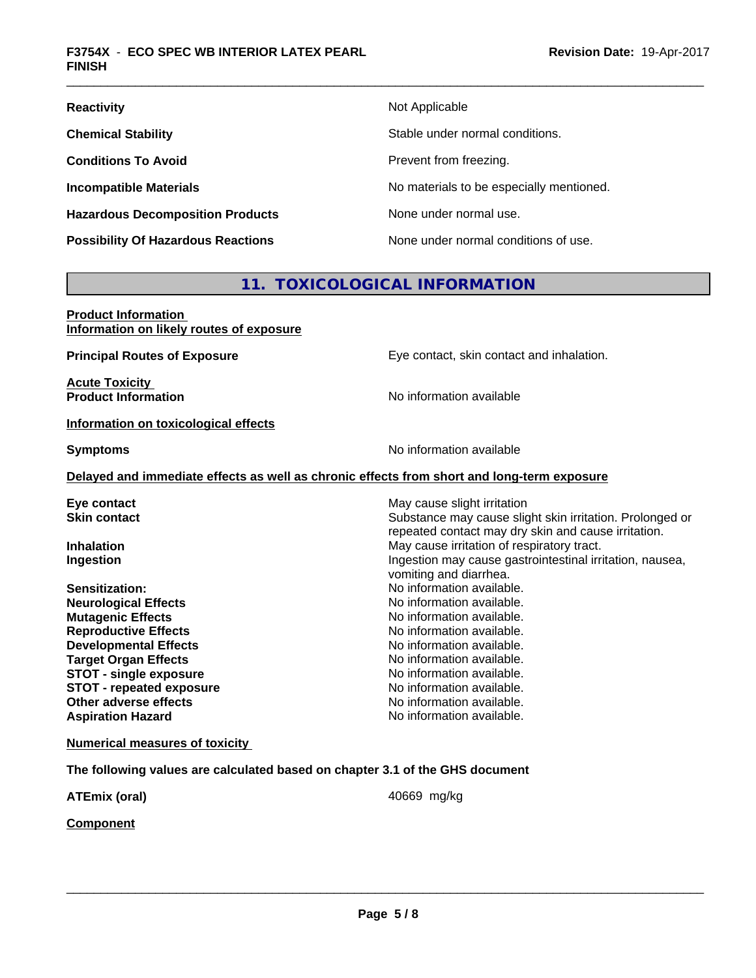| <b>Reactivity</b>                         | Not Applicable                           |
|-------------------------------------------|------------------------------------------|
| <b>Chemical Stability</b>                 | Stable under normal conditions.          |
| <b>Conditions To Avoid</b>                | Prevent from freezing.                   |
| <b>Incompatible Materials</b>             | No materials to be especially mentioned. |
| <b>Hazardous Decomposition Products</b>   | None under normal use.                   |
| <b>Possibility Of Hazardous Reactions</b> | None under normal conditions of use.     |

# **11. TOXICOLOGICAL INFORMATION**

| <b>Product Information</b><br>Information on likely routes of exposure       |                                                                                            |
|------------------------------------------------------------------------------|--------------------------------------------------------------------------------------------|
| <b>Principal Routes of Exposure</b>                                          | Eye contact, skin contact and inhalation.                                                  |
| <b>Acute Toxicity</b><br><b>Product Information</b>                          | No information available                                                                   |
| Information on toxicological effects                                         |                                                                                            |
| <b>Symptoms</b>                                                              | No information available                                                                   |
|                                                                              | Delayed and immediate effects as well as chronic effects from short and long-term exposure |
| Eye contact                                                                  | May cause slight irritation                                                                |
| <b>Skin contact</b>                                                          | Substance may cause slight skin irritation. Prolonged or                                   |
|                                                                              | repeated contact may dry skin and cause irritation.                                        |
| <b>Inhalation</b>                                                            | May cause irritation of respiratory tract.                                                 |
| Ingestion                                                                    | Ingestion may cause gastrointestinal irritation, nausea,                                   |
|                                                                              | vomiting and diarrhea.                                                                     |
| Sensitization:                                                               | No information available.                                                                  |
| <b>Neurological Effects</b>                                                  | No information available.                                                                  |
| <b>Mutagenic Effects</b>                                                     | No information available.                                                                  |
| <b>Reproductive Effects</b>                                                  | No information available.                                                                  |
| <b>Developmental Effects</b>                                                 | No information available.                                                                  |
| <b>Target Organ Effects</b>                                                  | No information available.                                                                  |
| <b>STOT - single exposure</b>                                                | No information available.                                                                  |
| <b>STOT - repeated exposure</b>                                              | No information available.                                                                  |
| Other adverse effects                                                        | No information available.                                                                  |
| <b>Aspiration Hazard</b>                                                     | No information available.                                                                  |
| <b>Numerical measures of toxicity</b>                                        |                                                                                            |
| The following values are calculated based on chapter 3.1 of the GHS document |                                                                                            |
| <b>ATEmix (oral)</b>                                                         | 40669 mg/kg                                                                                |
| <b>Component</b>                                                             |                                                                                            |
|                                                                              |                                                                                            |
|                                                                              |                                                                                            |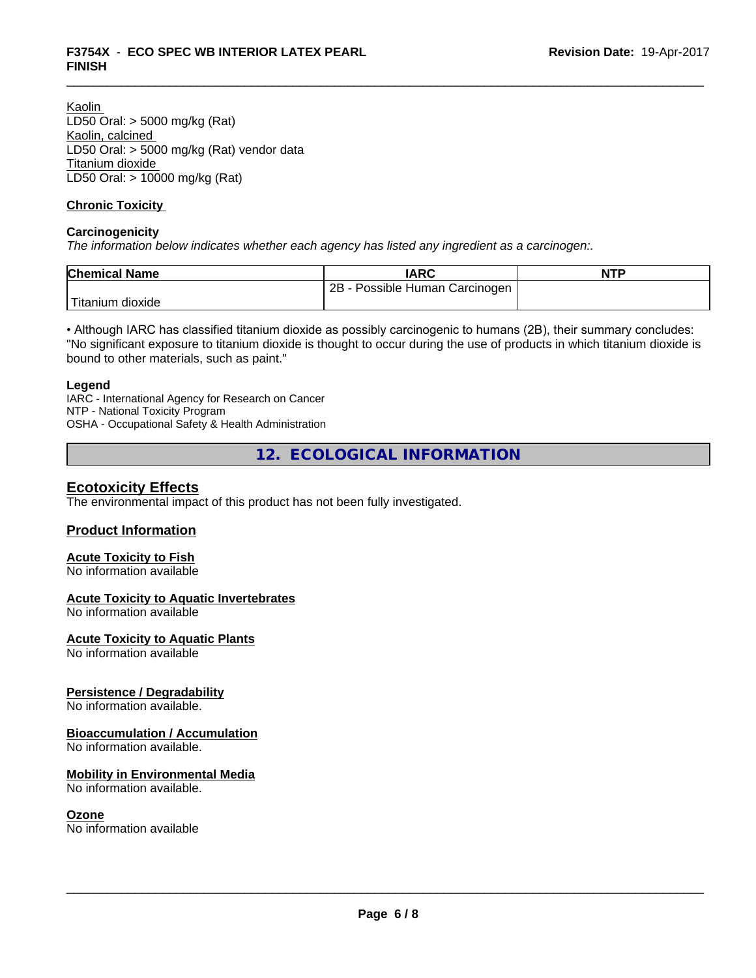Kaolin LD50 Oral: > 5000 mg/kg (Rat) Kaolin, calcined LD50 Oral: > 5000 mg/kg (Rat) vendor data Titanium dioxide LD50 Oral: > 10000 mg/kg (Rat)

# **Chronic Toxicity**

# **Carcinogenicity**

*The information below indicateswhether each agency has listed any ingredient as a carcinogen:.*

| <b>Chemical Name</b>   | IARC                            | <b>NTP</b> |
|------------------------|---------------------------------|------------|
|                        | 2B<br>Possible Human Carcinogen |            |
| Titanium J<br>⊧dioxide |                                 |            |

• Although IARC has classified titanium dioxide as possibly carcinogenic to humans (2B), their summary concludes: "No significant exposure to titanium dioxide is thought to occur during the use of products in which titanium dioxide is bound to other materials, such as paint."

#### **Legend**

IARC - International Agency for Research on Cancer NTP - National Toxicity Program OSHA - Occupational Safety & Health Administration

**12. ECOLOGICAL INFORMATION**

# **Ecotoxicity Effects**

The environmental impact of this product has not been fully investigated.

# **Product Information**

# **Acute Toxicity to Fish**

No information available

# **Acute Toxicity to Aquatic Invertebrates**

No information available

# **Acute Toxicity to Aquatic Plants**

No information available

# **Persistence / Degradability**

No information available.

# **Bioaccumulation / Accumulation**

No information available.

# **Mobility in Environmental Media**

No information available.

# **Ozone**

No information available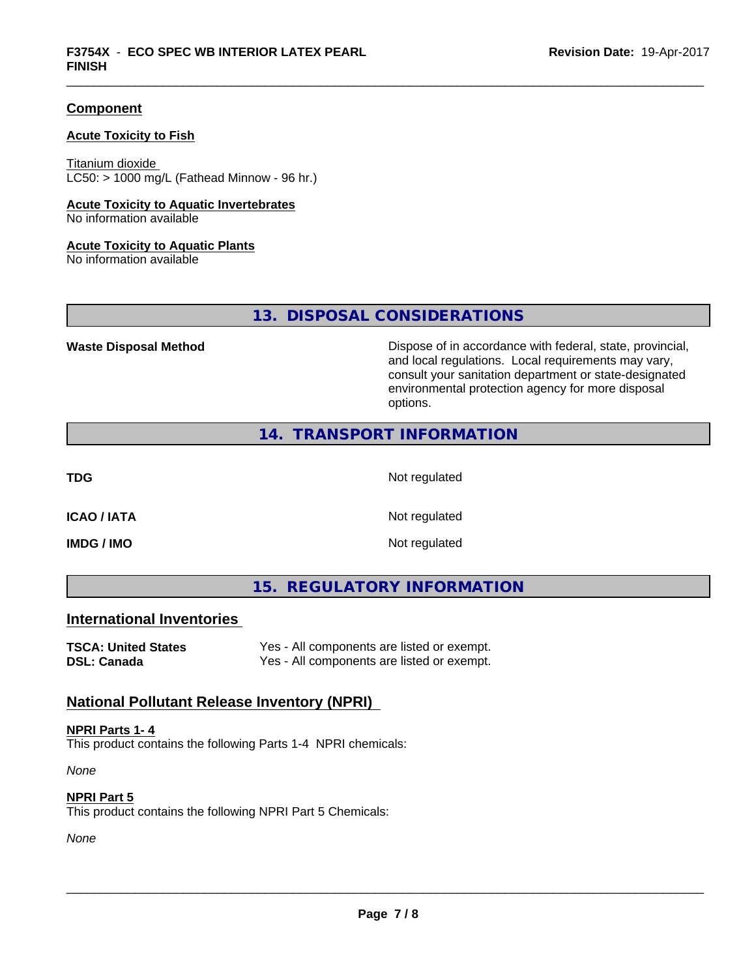# **Component**

# **Acute Toxicity to Fish**

Titanium dioxide  $LC50:$  > 1000 mg/L (Fathead Minnow - 96 hr.)

#### **Acute Toxicity to Aquatic Invertebrates**

No information available

#### **Acute Toxicity to Aquatic Plants**

No information available

**13. DISPOSAL CONSIDERATIONS**

Waste Disposal Method **Dispose of in accordance with federal, state, provincial,** and local regulations. Local requirements may vary, consult your sanitation department or state-designated environmental protection agency for more disposal options.

# **14. TRANSPORT INFORMATION**

**TDG** Not regulated

**ICAO / IATA** Not regulated

**IMDG / IMO** Not regulated

**15. REGULATORY INFORMATION**

# **International Inventories**

**TSCA: United States** Yes - All components are listed or exempt. **DSL: Canada** Yes - All components are listed or exempt.

# **National Pollutant Release Inventory (NPRI)**

**NPRI Parts 1- 4** This product contains the following Parts 1-4 NPRI chemicals:

*None*

**NPRI Part 5**

This product contains the following NPRI Part 5 Chemicals:

*None*